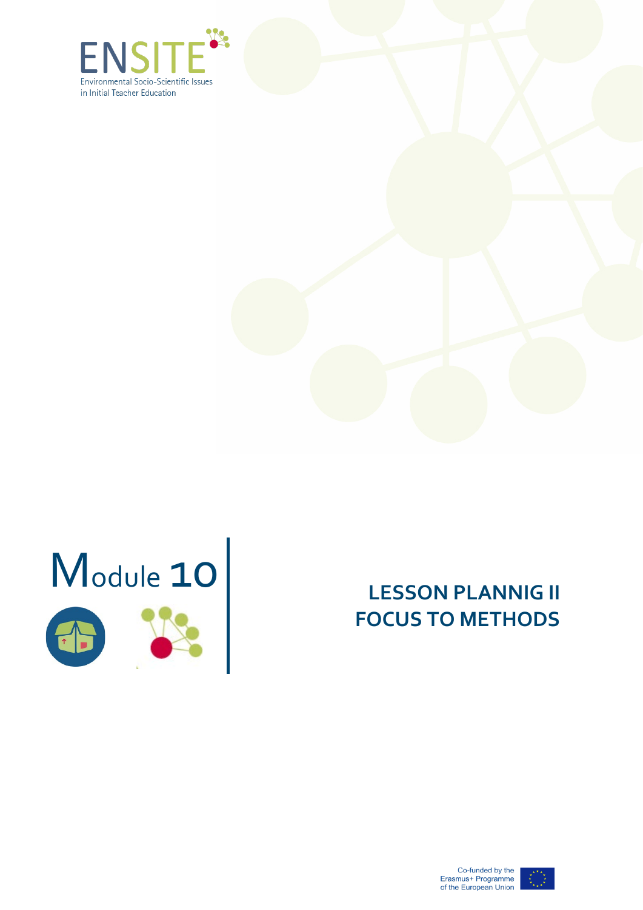





# 0 **LESSON PLANNIG II FOCUS TO METHODS**



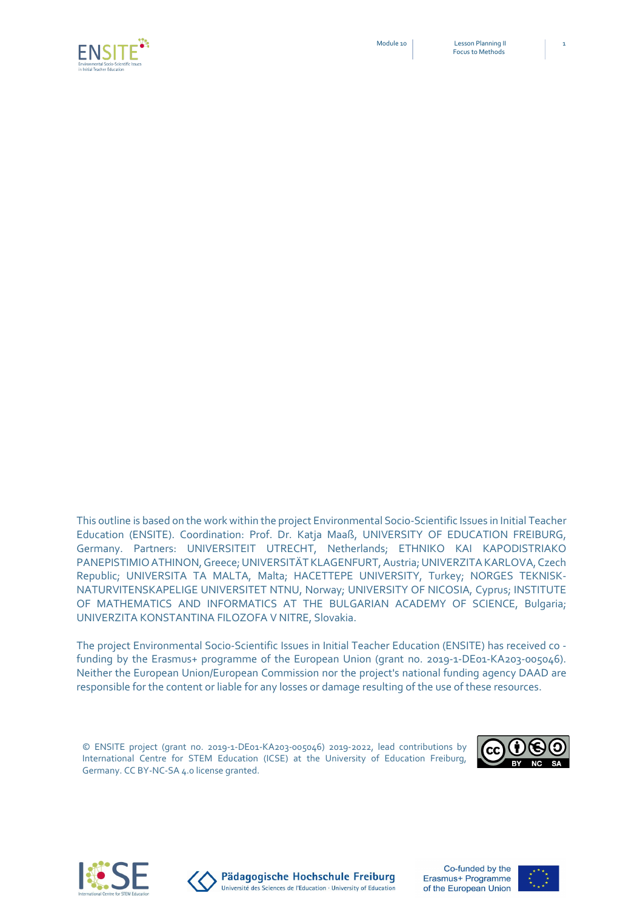Module 10 Lesson Planning II Focus to Methods



This outline is based on the work within the project Environmental Socio-Scientific Issues in Initial Teacher Education (ENSITE). Coordination: Prof. Dr. Katja Maaß, UNIVERSITY OF EDUCATION FREIBURG, Germany. Partners: UNIVERSITEIT UTRECHT, Netherlands; ETHNIKO KAI KAPODISTRIAKO PANEPISTIMIO ATHINON,Greece; UNIVERSITÄT KLAGENFURT, Austria; UNIVERZITA KARLOVA, Czech Republic; UNIVERSITA TA MALTA, Malta; HACETTEPE UNIVERSITY, Turkey; NORGES TEKNISK-NATURVITENSKAPELIGE UNIVERSITET NTNU, Norway; UNIVERSITY OF NICOSIA, Cyprus; INSTITUTE OF MATHEMATICS AND INFORMATICS AT THE BULGARIAN ACADEMY OF SCIENCE, Bulgaria;

The project Environmental Socio-Scientific Issues in Initial Teacher Education (ENSITE) has received co funding by the Erasmus+ programme of the European Union (grant no. 2019-1-DE01-KA203-005046). Neither the European Union/European Commission nor the project's national funding agency DAAD are responsible for the content or liable for any losses or damage resulting of the use of these resources.

© ENSITE project (grant no. 2019-1-DE01-KA203-005046) 2019-2022, lead contributions by International Centre for STEM Education (ICSE) at the University of Education Freiburg, Germany. CC BY-NC-SA 4.0 license granted.







UNIVERZITA KONSTANTINA FILOZOFA V NITRE, Slovakia.

Pädagogische Hochschule Freiburg Université des Sciences de l'Education · University of Education



1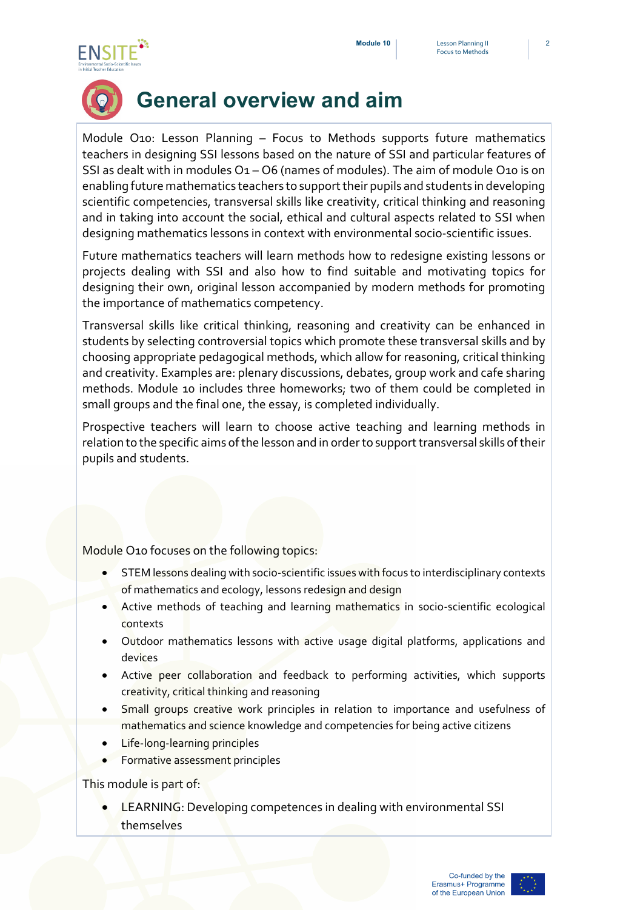



# **General overview and aim**

Module O10: Lesson Planning – Focus to Methods supports future mathematics teachers in designing SSI lessons based on the nature of SSI and particular features of SSI as dealt with in modules  $O_1 - O_6$  (names of modules). The aim of module O10 is on enabling future mathematics teachers to support their pupils and students in developing scientific competencies, transversal skills like creativity, critical thinking and reasoning and in taking into account the social, ethical and cultural aspects related to SSI when designing mathematics lessons in context with environmental socio-scientific issues.

Future mathematics teachers will learn methods how to redesigne existing lessons or projects dealing with SSI and also how to find suitable and motivating topics for designing their own, original lesson accompanied by modern methods for promoting the importance of mathematics competency.

Transversal skills like critical thinking, reasoning and creativity can be enhanced in students by selecting controversial topics which promote these transversal skills and by choosing appropriate pedagogical methods, which allow for reasoning, critical thinking and creativity. Examples are: plenary discussions, debates, group work and cafe sharing methods. Module 10 includes three homeworks; two of them could be completed in small groups and the final one, the essay, is completed individually.

Prospective teachers will learn to choose active teaching and learning methods in relation to the specific aims of the lesson and in order to support transversal skills of their pupils and students.

Module O10 focuses on the following topics:

- STEM lessons dealing with socio-scientific issues with focus to interdisciplinary contexts of mathematics and ecology, lessons redesign and design
- **Active methods of teaching and learning mathematics** in socio-scientific ecological contexts
- Outdoor mathematics lessons with active usage digital platforms, applications and devices
- Active peer collaboration and feedback to performing activities, which supports creativity, critical thinking and reasoning
- Small groups creative work principles in relation to importance and usefulness of mathematics and science knowledge and competencies for being active citizens
- Life-long-learning principles
- Formative assessment principles

This module is part of:

**LEARNING: Developing competences in dealing with environmental SSI** themselves

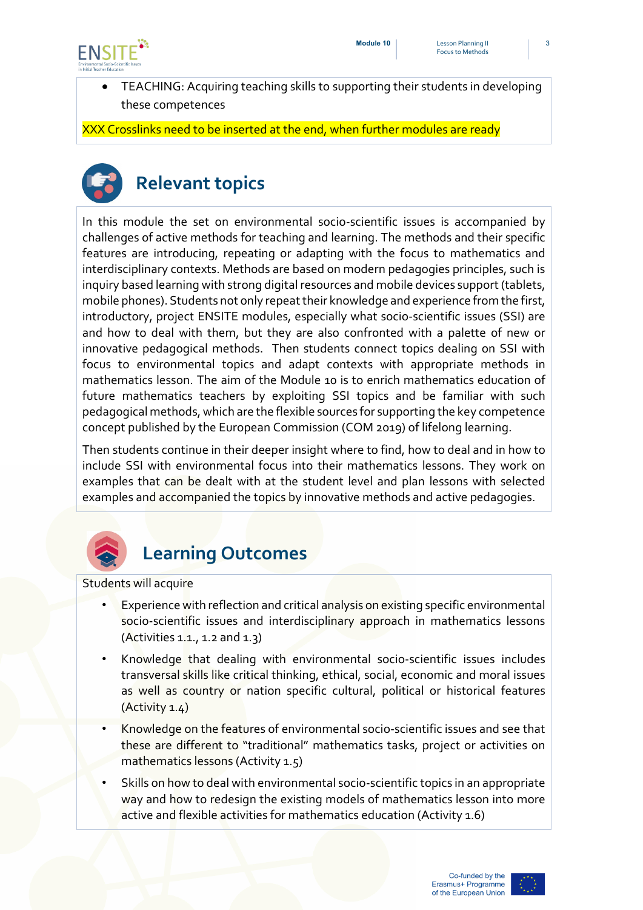

• TEACHING: Acquiring teaching skills to supporting their students in developing these competences

XXX Crosslinks need to be inserted at the end, when further modules are ready



# **Relevant topics**

In this module the set on environmental socio-scientific issues is accompanied by challenges of active methods for teaching and learning. The methods and their specific features are introducing, repeating or adapting with the focus to mathematics and interdisciplinary contexts. Methods are based on modern pedagogies principles, such is inquiry based learning with strong digital resources and mobile devices support (tablets, mobile phones). Students not only repeat their knowledge and experience from the first, introductory, project ENSITE modules, especially what socio-scientific issues (SSI) are and how to deal with them, but they are also confronted with a palette of new or innovative pedagogical methods. Then students connect topics dealing on SSI with focus to environmental topics and adapt contexts with appropriate methods in mathematics lesson. The aim of the Module 10 is to enrich mathematics education of future mathematics teachers by exploiting SSI topics and be familiar with such pedagogical methods, which are the flexible sources for supporting the key competence concept published by the European Commission (COM 2019) of lifelong learning.

Then students continue in their deeper insight where to find, how to deal and in how to include SSI with environmental focus into their mathematics lessons. They work on examples that can be dealt with at the student level and plan lessons with selected examples and accompanied the topics by innovative methods and active pedagogies.



### **Learning Outcomes**

Students will acquire

- Experience with reflection and critical analysis on existing specific environmental socio-scientific issues and interdisciplinary approach in mathematics lessons  $(A$ ctivities 1.1., 1.2 and 1.3)
- Knowledge that dealing with environmental socio-scientific issues includes transversal skills like critical thinking, ethical, social, economic and moral issues as well as country or nation specific cultural, political or historical features (Activity 1.4)
- Knowledge on the features of environmental socio-scientific issues and see that these are different to "traditional" mathematics tasks, project or activities on mathematics lessons (Activity 1.5)
- Skills on how to deal with environmental socio-scientific topics in an appropriate way and how to redesign the existing models of mathematics lesson into more active and flexible activities for mathematics education (Activity 1.6)

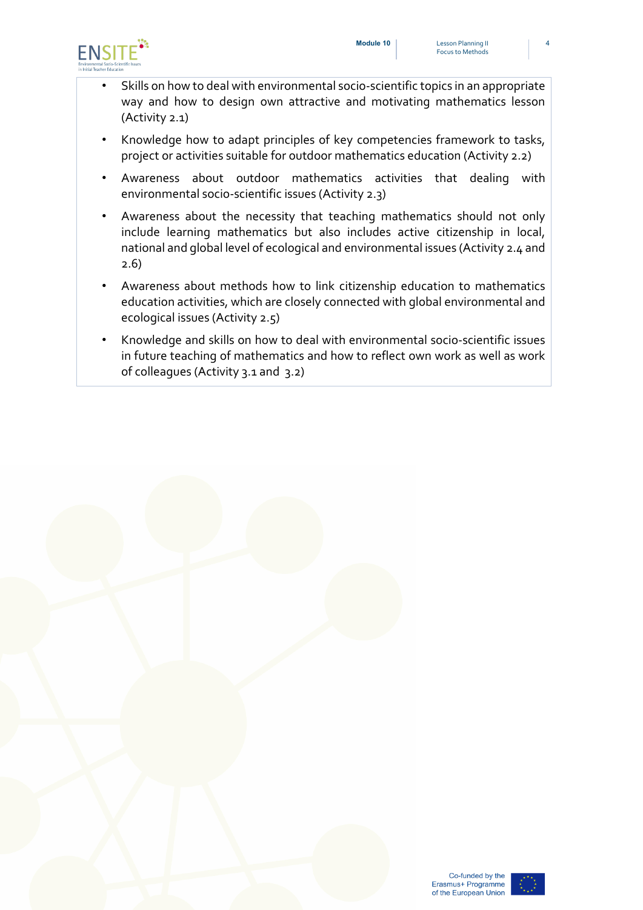

- Skills on how to deal with environmental socio-scientific topics in an appropriate way and how to design own attractive and motivating mathematics lesson (Activity 2.1)
- Knowledge how to adapt principles of key competencies framework to tasks, project or activities suitable for outdoor mathematics education (Activity 2.2)
- Awareness about outdoor mathematics activities that dealing with environmental socio-scientific issues (Activity 2.3)
- Awareness about the necessity that teaching mathematics should not only include learning mathematics but also includes active citizenship in local, national and global level of ecological and environmental issues (Activity 2.4 and 2.6)
- Awareness about methods how to link citizenship education to mathematics education activities, which are closely connected with global environmental and ecological issues (Activity 2.5)
- Knowledge and skills on how to deal with environmental socio-scientific issues in future teaching of mathematics and how to reflect own work as well as work of colleagues (Activity 3.1 and 3.2)



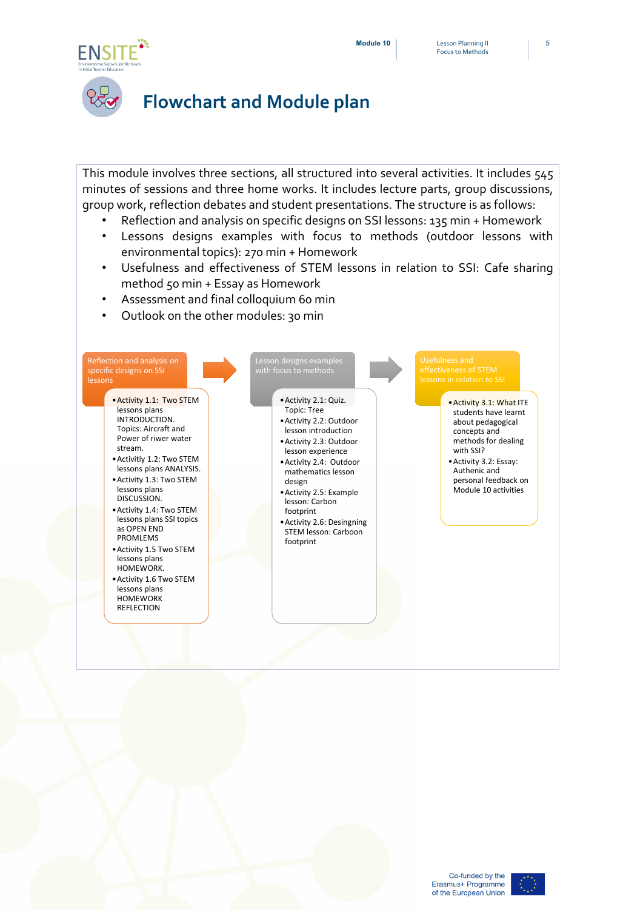

### **Flowchart and Module plan**

This module involves three sections, all structured into several activities. It includes 545 minutes of sessions and three home works. It includes lecture parts, group discussions, group work, reflection debates and student presentations. The structure is as follows:

- Reflection and analysis on specific designs on SSI lessons: 135 min + Homework
- Lessons designs examples with focus to methods (outdoor lessons with environmental topics): 270 min + Homework
- Usefulness and effectiveness of STEM lessons in relation to SSI: Cafe sharing method 50 min + Essay as Homework
- Assessment and final colloquium 60 min
- Outlook on the other modules: 30 min



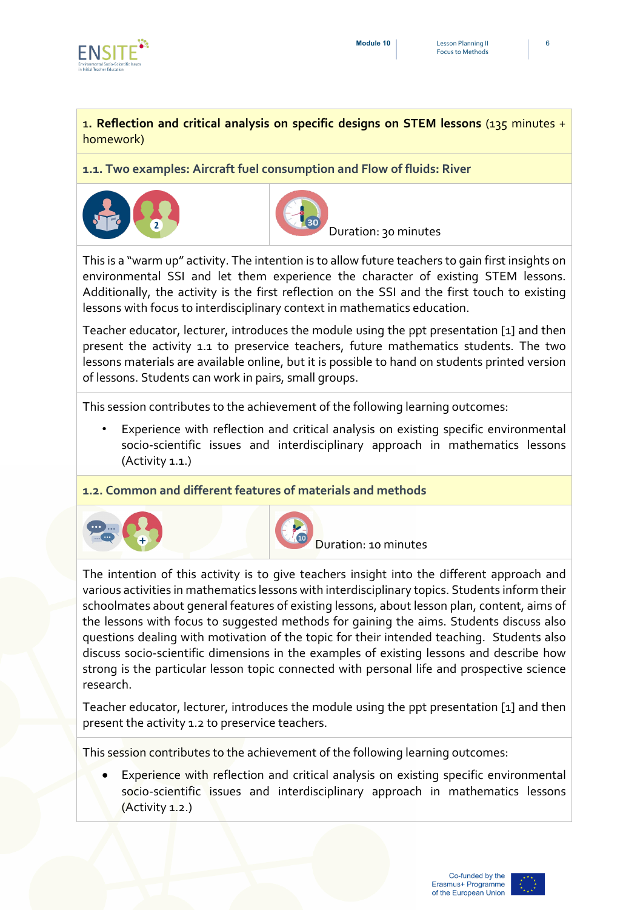

#### 1**. Reflection and critical analysis on specific designs on STEM lessons** (135 minutes + homework)

**1.1. Two examples: Aircraft fuel consumption and Flow of fluids: River**





Duration: 30 minutes

This is a "warm up" activity. The intention is to allow future teachers to gain first insights on environmental SSI and let them experience the character of existing STEM lessons. Additionally, the activity is the first reflection on the SSI and the first touch to existing lessons with focus to interdisciplinary context in mathematics education.

Teacher educator, lecturer, introduces the module using the ppt presentation [1] and then present the activity 1.1 to preservice teachers, future mathematics students. The two lessons materials are available online, but it is possible to hand on students printed version of lessons. Students can work in pairs, small groups.

This session contributes to the achievement of the following learning outcomes:

• Experience with reflection and critical analysis on existing specific environmental socio-scientific issues and interdisciplinary approach in mathematics lessons (Activity 1.1.)

**1.2. Common and different features of materials and methods**





Duration: 10 minutes

The intention of this activity is to give teachers insight into the different approach and various activities in mathematics lessons with interdisciplinary topics. Students inform their schoolmates about general features of existing lessons, about lesson plan, content, aims of the lessons with focus to suggested methods for gaining the aims. Students discuss also questions dealing with motivation of the topic for their intended teaching. Students also discuss socio-scientific dimensions in the examples of existing lessons and describe how strong is the particular lesson topic connected with personal life and prospective science research.

Teacher educator, lecturer, introduces the module using the ppt presentation [1] and then present the activity 1.2 to preservice teachers.

This session contributes to the achievement of the following learning outcomes:

• Experience with reflection and critical analysis on existing specific environmental socio-scientific issues and interdisciplinary approach in mathematics lessons (Activity 1.2.)

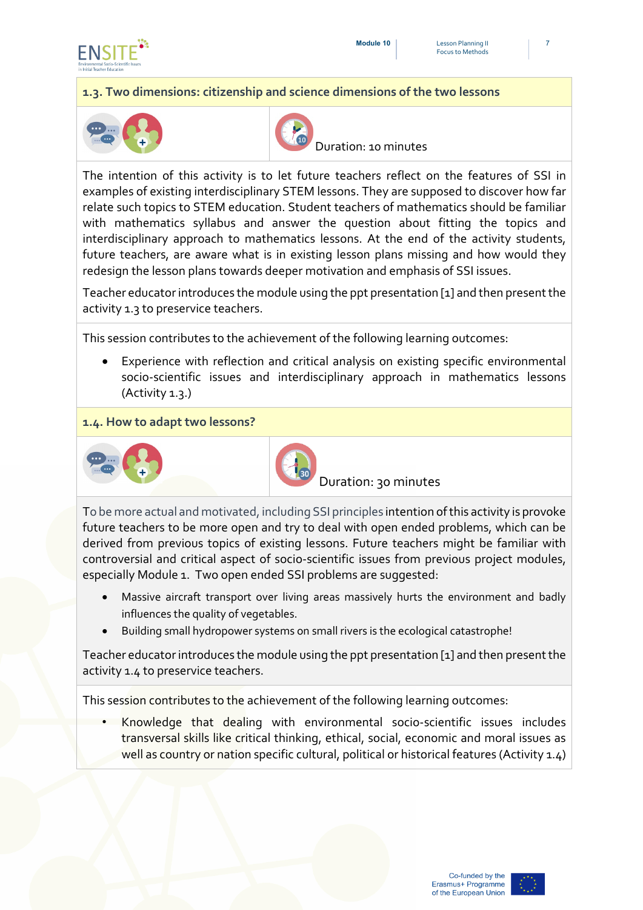



#### **1.3. Two dimensions: citizenship and science dimensions of the two lessons**





Duration: 10 minutes

The intention of this activity is to let future teachers reflect on the features of SSI in examples of existing interdisciplinary STEM lessons. They are supposed to discover how far relate such topics to STEM education. Student teachers of mathematics should be familiar with mathematics syllabus and answer the question about fitting the topics and interdisciplinary approach to mathematics lessons. At the end of the activity students, future teachers, are aware what is in existing lesson plans missing and how would they redesign the lesson plans towards deeper motivation and emphasis of SSI issues.

Teacher educator introduces the module using the ppt presentation [1] and then present the activity 1.3 to preservice teachers.

This session contributes to the achievement of the following learning outcomes:

Experience with reflection and critical analysis on existing specific environmental socio-scientific issues and interdisciplinary approach in mathematics lessons (Activity 1.3.)

#### **1.4. How to adapt two lessons?**





Duration: 30 minutes

To be more actual and motivated, including SSI principles intention of this activity is provoke future teachers to be more open and try to deal with open ended problems, which can be derived from previous topics of existing lessons. Future teachers might be familiar with controversial and critical aspect of socio-scientific issues from previous project modules, especially Module 1. Two open ended SSI problems are suggested:

- Massive aircraft transport over living areas massively hurts the environment and badly influences the quality of vegetables.
- Building small hydropower systems on small rivers is the ecological catastrophe!

Teacher educator introduces the module using the ppt presentation [1] and then present the activity 1.4 to preservice teachers.

This session contributes to the achievement of the following learning outcomes:

• Knowledge that dealing with environmental socio-scientific issues includes transversal skills like critical thinking, ethical, social, economic and moral issues as well as country or nation specific cultural, political or historical features (Activity 1.4)

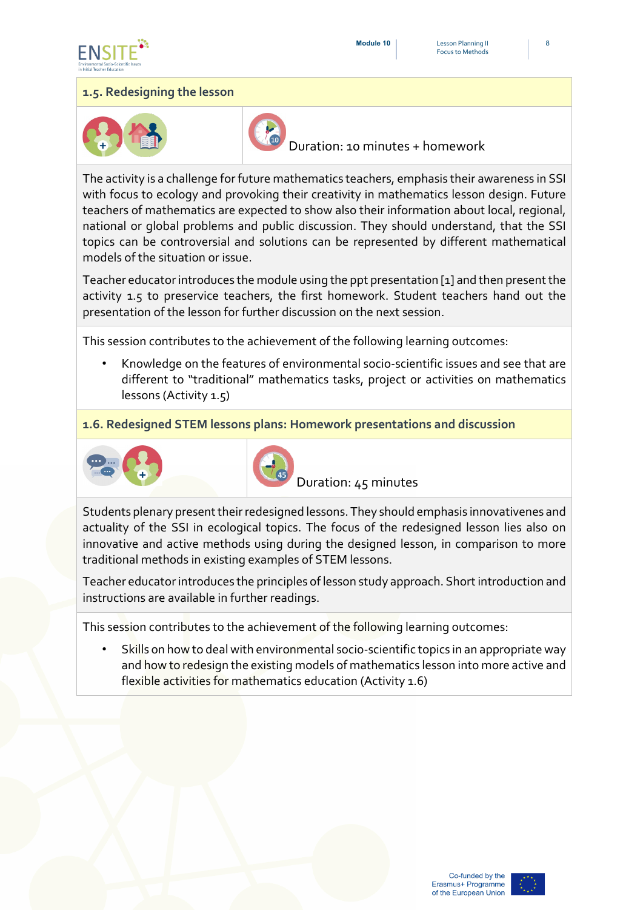



#### **1.5. Redesigning the lesson**





Duration: 10 minutes + homework

The activity is a challenge for future mathematics teachers, emphasis their awareness in SSI with focus to ecology and provoking their creativity in mathematics lesson design. Future teachers of mathematics are expected to show also their information about local, regional, national or global problems and public discussion. They should understand, that the SSI topics can be controversial and solutions can be represented by different mathematical models of the situation or issue.

Teacher educator introduces the module using the ppt presentation [1] and then present the activity 1.5 to preservice teachers, the first homework. Student teachers hand out the presentation of the lesson for further discussion on the next session.

This session contributes to the achievement of the following learning outcomes:

• Knowledge on the features of environmental socio-scientific issues and see that are different to "traditional" mathematics tasks, project or activities on mathematics lessons (Activity 1.5)

**1.6. Redesigned STEM lessons plans: Homework presentations and discussion**





Duration: 45 minutes

Students plenary present their redesigned lessons. They should emphasis innovativenes and actuality of the SSI in ecological topics. The focus of the redesigned lesson lies also on innovative and active methods using during the designed lesson, in comparison to more traditional methods in existing examples of STEM lessons.

Teacher educator introduces the principles of lesson study approach. Short introduction and instructions are available in further readings.

This session contributes to the achievement of the following learning outcomes:

Skills on how to deal with environmental socio-scientific topics in an appropriate way and how to redesign the existing models of mathematics lesson into more active and flexible activities for mathematics education (Activity 1.6)

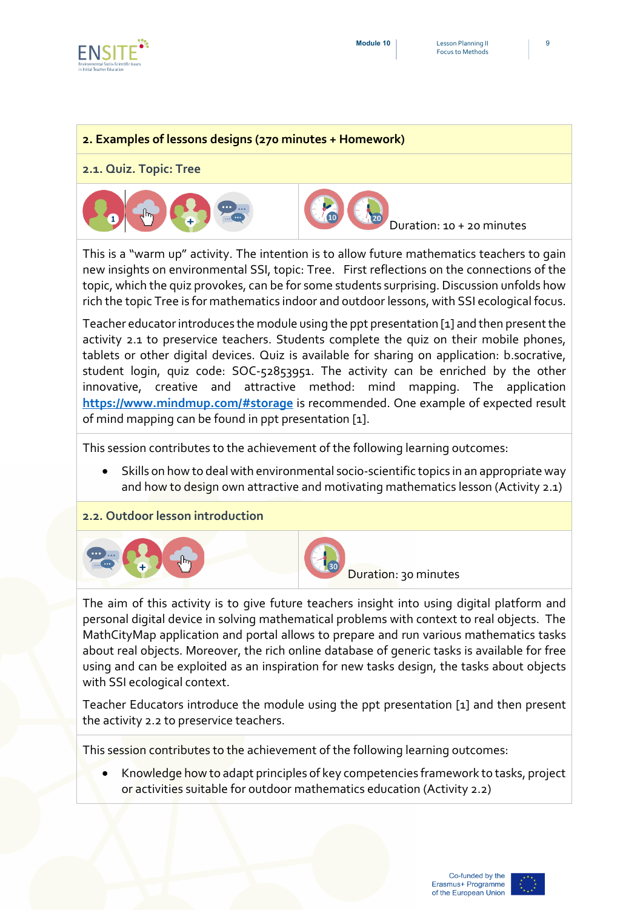

#### **2. Examples of lessons designs (270 minutes + Homework)**

#### **2.1. Quiz. Topic: Tree**



This is a "warm up" activity. The intention is to allow future mathematics teachers to gain new insights on environmental SSI, topic: Tree. First reflections on the connections of the topic, which the quiz provokes, can be for some students surprising. Discussion unfolds how rich the topic Tree is for mathematics indoor and outdoor lessons, with SSI ecological focus.

Teacher educator introduces the module using the ppt presentation [1] and then present the activity 2.1 to preservice teachers. Students complete the quiz on their mobile phones, tablets or other digital devices. Quiz is available for sharing on application: b.socrative, student login, quiz code: SOC-52853951. The activity can be enriched by the other innovative, creative and attractive method: mind mapping. The application **<https://www.mindmup.com/#storage>** is recommended. One example of expected result of mind mapping can be found in ppt presentation [1].

This session contributes to the achievement of the following learning outcomes:

- Skills on how to deal with environmental socio-scientific topics in an appropriate way and how to design own attractive and motivating mathematics lesson (Activity 2.1)
- **2.2. Outdoor lesson introduction**





Duration: 30 minutes

The aim of this activity is to give future teachers insight into using digital platform and personal digital device in solving mathematical problems with context to real objects. The MathCityMap application and portal allows to prepare and run various mathematics tasks about real objects. Moreover, the rich online database of generic tasks is available for free using and can be exploited as an inspiration for new tasks design, the tasks about objects with SSI ecological context.

Teacher Educators introduce the module using the ppt presentation [1] and then present the activity 2.2 to preservice teachers.

This session contributes to the achievement of the following learning outcomes:

• Knowledge how to adapt principles of key competencies framework to tasks, project or activities suitable for outdoor mathematics education (Activity 2.2)



9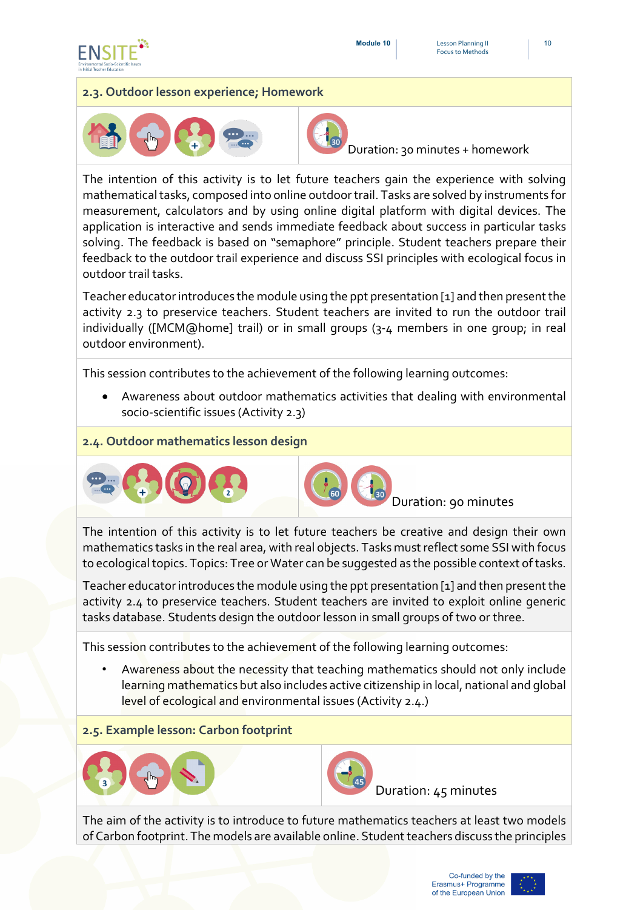



#### **2.3. Outdoor lesson experience; Homework**





Duration: 30 minutes + homework

The intention of this activity is to let future teachers gain the experience with solving mathematical tasks, composed into online outdoor trail. Tasks are solved by instruments for measurement, calculators and by using online digital platform with digital devices. The application is interactive and sends immediate feedback about success in particular tasks solving. The feedback is based on "semaphore" principle. Student teachers prepare their feedback to the outdoor trail experience and discuss SSI principles with ecological focus in outdoor trail tasks.

Teacher educatorintroduces the module using the ppt presentation [1] and then present the activity 2.3 to preservice teachers. Student teachers are invited to run the outdoor trail individually ([MCM@home] trail) or in small groups (3-4 members in one group; in real outdoor environment).

This session contributes to the achievement of the following learning outcomes:

• Awareness about outdoor mathematics activities that dealing with environmental socio-scientific issues (Activity 2.3)

#### **2.4. Outdoor mathematics lesson design**





Duration: 90 minutes

The intention of this activity is to let future teachers be creative and design their own mathematics tasks in the real area, with real objects. Tasks must reflect some SSI with focus to ecological topics. Topics: Tree or Water can be suggested as the possible context of tasks.

Teacher educatorintroduces the module using the ppt presentation [1] and then present the activity 2.4 to preservice teachers. Student teachers are invited to exploit online generic tasks database. Students design the outdoor lesson in small groups of two or three.

This session contributes to the achievement of the following learning outcomes:

• Awareness about the necessity that teaching mathematics should not only include learning mathematics but also includes active citizenship in local, national and global level of ecological and environmental issues (Activity 2.4.)

**2.5. Example lesson: Carbon footprint**





Duration: 45 minutes

The aim of the activity is to introduce to future mathematics teachers at least two models of Carbon footprint. The models are available online. Student teachers discuss the principles

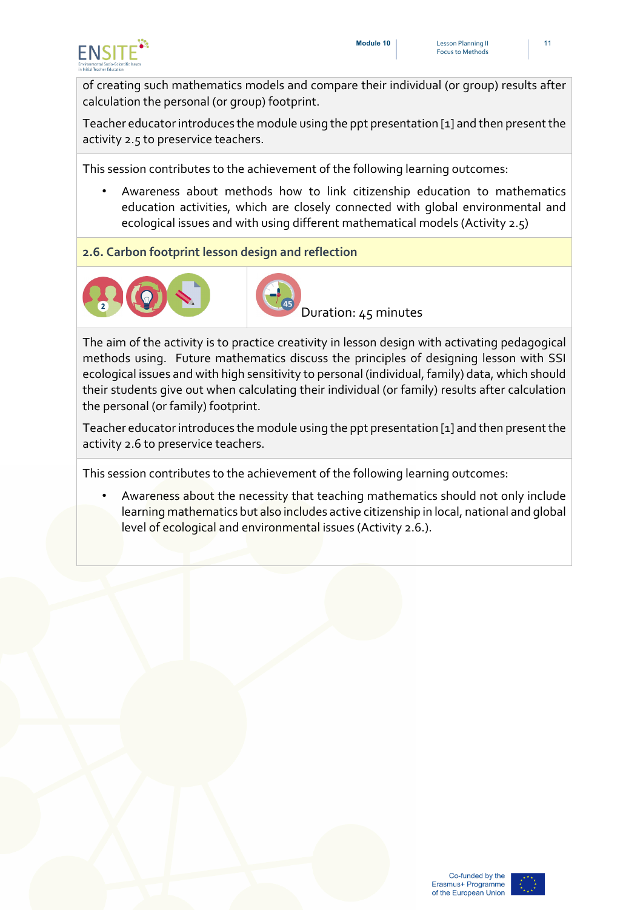

of creating such mathematics models and compare their individual (or group) results after calculation the personal (or group) footprint.

Teacher educatorintroduces the module using the ppt presentation [1] and then present the activity 2.5 to preservice teachers.

This session contributes to the achievement of the following learning outcomes:

- Awareness about methods how to link citizenship education to mathematics education activities, which are closely connected with global environmental and ecological issues and with using different mathematical models (Activity 2.5)
- **2.6. Carbon footprint lesson design and reflection**





Duration: 45 minutes

The aim of the activity is to practice creativity in lesson design with activating pedagogical methods using. Future mathematics discuss the principles of designing lesson with SSI ecological issues and with high sensitivity to personal (individual, family) data, which should their students give out when calculating their individual (or family) results after calculation the personal (or family) footprint.

Teacher educatorintroduces the module using the ppt presentation [1] and then present the activity 2.6 to preservice teachers.

This session contributes to the achievement of the following learning outcomes:

• Awareness about the necessity that teaching mathematics should not only include learning mathematics but also includes active citizenship in local, national and global level of ecological and environmental issues (Activity 2.6.).

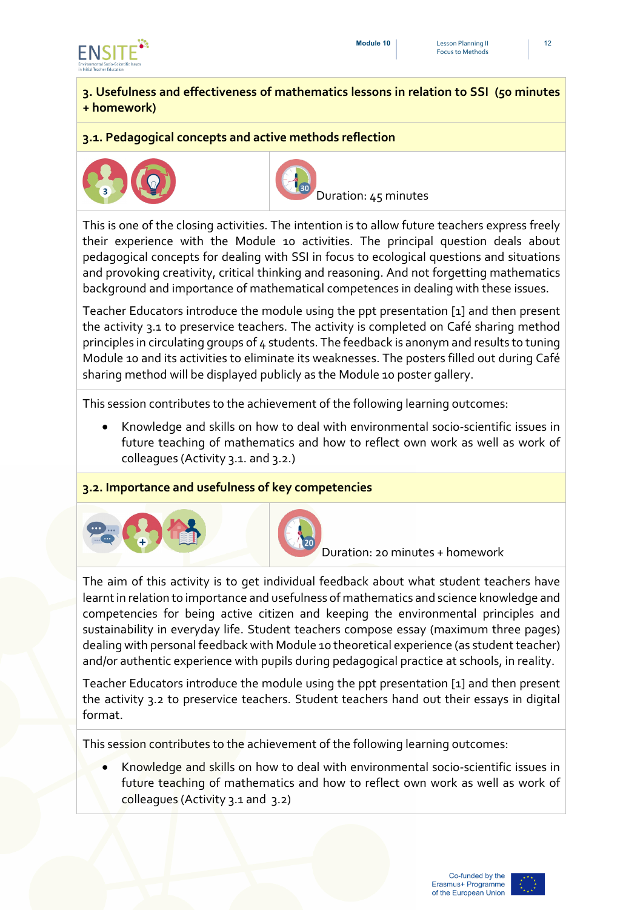

#### **3. Usefulness and effectiveness of mathematics lessons in relation to SSI (50 minutes + homework)**

#### **3.1. Pedagogical concepts and active methods reflection**





Duration: 45 minutes

This is one of the closing activities. The intention is to allow future teachers express freely their experience with the Module 10 activities. The principal question deals about pedagogical concepts for dealing with SSI in focus to ecological questions and situations and provoking creativity, critical thinking and reasoning. And not forgetting mathematics background and importance of mathematical competences in dealing with these issues.

Teacher Educators introduce the module using the ppt presentation [1] and then present the activity 3.1 to preservice teachers. The activity is completed on Café sharing method principles in circulating groups of 4 students. The feedback is anonym and results to tuning Module 10 and its activities to eliminate its weaknesses. The posters filled out during Café sharing method will be displayed publicly as the Module 10 poster gallery.

This session contributes to the achievement of the following learning outcomes:

• Knowledge and skills on how to deal with environmental socio-scientific issues in future teaching of mathematics and how to reflect own work as well as work of colleagues (Activity 3.1. and 3.2.)

#### **3.2. Importance and usefulness of key competencies**





Duration: 20 minutes + homework

The aim of this activity is to get individual feedback about what student teachers have learnt in relation to importance and usefulness of mathematics and science knowledge and competencies for being active citizen and keeping the environmental principles and sustainability in everyday life. Student teachers compose essay (maximum three pages) dealing with personal feedback with Module 10 theoretical experience (as student teacher) and/or authentic experience with pupils during pedagogical practice at schools, in reality.

Teacher Educators introduce the module using the ppt presentation [1] and then present the activity 3.2 to preservice teachers. Student teachers hand out their essays in digital format.

This session contributes to the achievement of the following learning outcomes:

• Knowledge and skills on how to deal with environmental socio-scientific issues in future teaching of mathematics and how to reflect own work as well as work of colleagues (Activity 3.1 and 3.2)

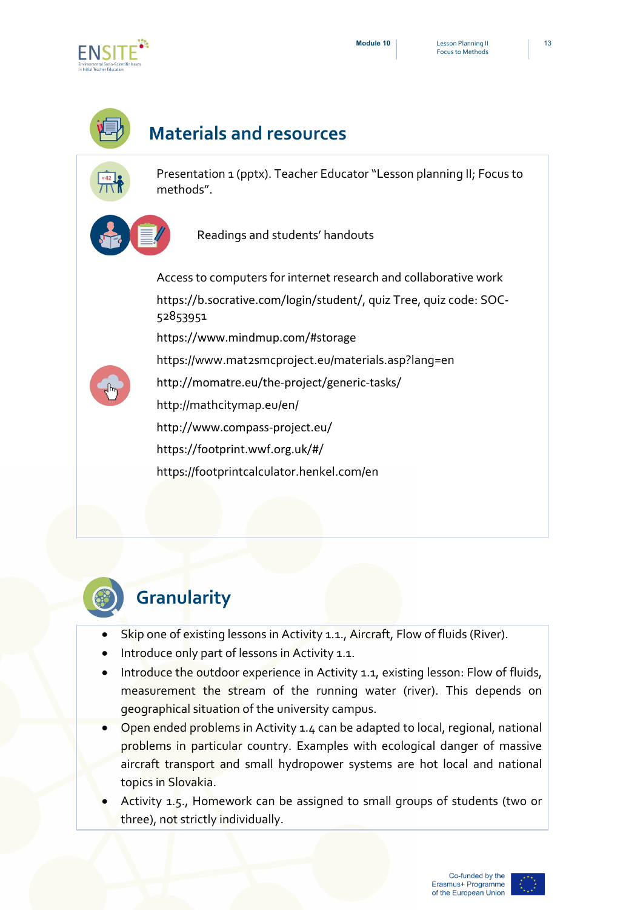

# **Materials and resources**

Presentation 1 (pptx). Teacher Educator "Lesson planning II; Focus to methods".

Readings and students' handouts

Access to computers for internet research and collaborative work <https://b.socrative.com/login/student/>, quiz Tree, quiz code: SOC-52853951 <https://www.mindmup.com/#storage>

<http://momatre.eu/the-project/generic-tasks/>

<https://www.mat2smcproject.eu/materials.asp?lang=en>

<http://mathcitymap.eu/en/>

<http://www.compass-project.eu/>

<https://footprint.wwf.org.uk/#/>

https://footprintcalculator.henkel.com/en

# **Granularity**

- Skip one of existing lessons in Activity 1.1., Aircraft, Flow of fluids (River).
- Introduce only part of lessons in Activity 1.1.
- Introduce the outdoor experience in Activity 1.1, existing lesson: Flow of fluids, measurement the stream of the running water (river). This depends on geographical situation of the university campus.
- Open ended problems in Activity 1.4 can be adapted to local, regional, national problems in particular country. Examples with ecological danger of massive aircraft transport and small hydropower systems are hot local and national topics in Slovakia.
- Activity 1.5., Homework can be assigned to small groups of students (two or three), not strictly individually.

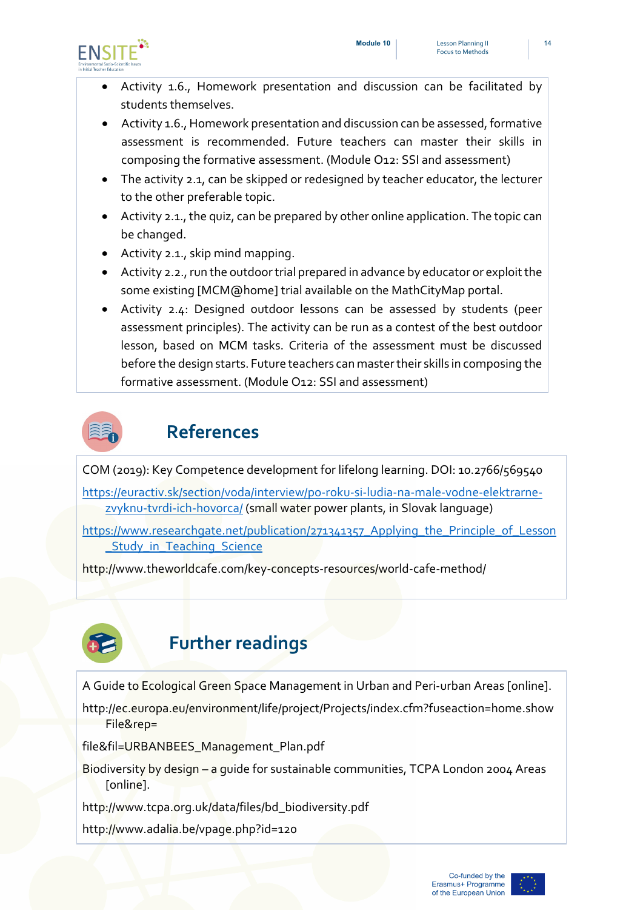

- Activity 1.6., Homework presentation and discussion can be facilitated by students themselves.
- Activity 1.6., Homework presentation and discussion can be assessed, formative assessment is recommended. Future teachers can master their skills in composing the formative assessment. (Module O12: SSI and assessment)
- The activity 2.1, can be skipped or redesigned by teacher educator, the lecturer to the other preferable topic.
- Activity 2.1., the quiz, can be prepared by other online application. The topic can be changed.
- Activity 2.1., skip mind mapping.
- Activity 2.2., run the outdoor trial prepared in advance by educator or exploit the some existing [MCM@home] trial available on the MathCityMap portal.
- Activity 2.4: Designed outdoor lessons can be assessed by students (peer assessment principles). The activity can be run as a contest of the best outdoor lesson, based on MCM tasks. Criteria of the assessment must be discussed before the design starts. Future teachers can master their skills in composing the formative assessment. (Module O12: SSI and assessment)



### **References**

COM (2019): Key Competence development for lifelong learning. DOI: 10.2766/569540

[https://euractiv.sk/section/voda/interview/po-roku-si-ludia-na-male-vodne-elektrarne](https://euractiv.sk/section/voda/interview/po-roku-si-ludia-na-male-vodne-elektrarne-zvyknu-tvrdi-ich-hovorca/)[zvyknu-tvrdi-ich-hovorca/](https://euractiv.sk/section/voda/interview/po-roku-si-ludia-na-male-vodne-elektrarne-zvyknu-tvrdi-ich-hovorca/) (small water power plants, in Slovak language)

[https://www.researchgate.net/publication/271341357\\_Applying\\_the\\_Principle\\_of\\_Lesson](https://www.researchgate.net/publication/271341357_Applying_the_Principle_of_Lesson_Study_in_Teaching_Science) Study in Teaching Science

http://www.theworldcafe.com/key-concepts-resources/world-cafe-method/



## **Further readings**

A Guide to Ecological Green Space Management in Urban and Peri-urban Areas [online].

http://ec.europa.eu/environment/life/project/Projects/index.cfm?fuseaction=home.show File&rep=

file&fil=URBANBEES\_Management\_Plan.pdf

Biodiversity by design – a guide for sustainable communities, TCPA London 2004 Areas [online].

http://www.tcpa.org.uk/data/files/bd\_biodiversity.pdf

http://www.adalia.be/vpage.php?id=120